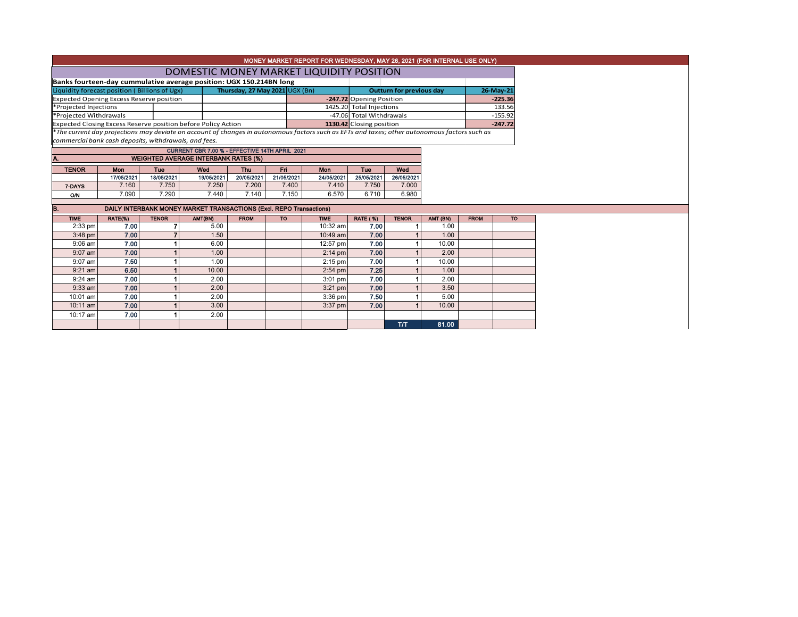|                                                                     |                 |                   |                                                                     |                                |           | MONEY MARKET REPORT FOR WEDNESDAY, MAY 26, 2021 (FOR INTERNAL USE ONLY)                                                                       |                          |                                 |                  |             |           |  |  |
|---------------------------------------------------------------------|-----------------|-------------------|---------------------------------------------------------------------|--------------------------------|-----------|-----------------------------------------------------------------------------------------------------------------------------------------------|--------------------------|---------------------------------|------------------|-------------|-----------|--|--|
| DOMESTIC MONEY MARKET LIQUIDITY POSITION                            |                 |                   |                                                                     |                                |           |                                                                                                                                               |                          |                                 |                  |             |           |  |  |
| Banks fourteen-day cummulative average position: UGX 150.214BN long |                 |                   |                                                                     |                                |           |                                                                                                                                               |                          |                                 |                  |             |           |  |  |
| Liquidity forecast position (Billions of Ugx)                       |                 |                   |                                                                     | Thursday, 27 May 2021 UGX (Bn) |           |                                                                                                                                               |                          | <b>Outturn for previous day</b> |                  |             |           |  |  |
| <b>Expected Opening Excess Reserve position</b>                     |                 |                   |                                                                     |                                |           |                                                                                                                                               | -247.72 Opening Position |                                 |                  |             | $-225.36$ |  |  |
| *Projected Injections                                               |                 |                   |                                                                     |                                |           |                                                                                                                                               | 1425.20 Total Injections |                                 | 133.56           |             |           |  |  |
| *Projected Withdrawals                                              |                 |                   |                                                                     |                                |           |                                                                                                                                               | -47.06 Total Withdrawals |                                 |                  |             | $-155.92$ |  |  |
|                                                                     |                 |                   | Expected Closing Excess Reserve position before Policy Action       |                                |           |                                                                                                                                               | 1130.42 Closing position |                                 |                  |             | $-247.72$ |  |  |
|                                                                     |                 |                   |                                                                     |                                |           | *The current day projections may deviate on account of changes in autonomous factors such as EFTs and taxes; other autonomous factors such as |                          |                                 |                  |             |           |  |  |
| commercial bank cash deposits, withdrawals, and fees.               |                 |                   |                                                                     |                                |           |                                                                                                                                               |                          |                                 |                  |             |           |  |  |
|                                                                     |                 |                   | CURRENT CBR 7.00 % - EFFECTIVE 14TH APRIL 2021                      |                                |           |                                                                                                                                               |                          |                                 |                  |             |           |  |  |
| A.                                                                  |                 |                   | <b>WEIGHTED AVERAGE INTERBANK RATES (%)</b>                         |                                |           |                                                                                                                                               |                          |                                 |                  |             |           |  |  |
| <b>TENOR</b>                                                        | Mon             | <b>Tue</b>        | Wed                                                                 | Thu                            | Fri       | <b>Mon</b>                                                                                                                                    | Tue                      | Wed                             |                  |             |           |  |  |
|                                                                     | 17/05/2021      | 18/05/2021        | 19/05/2021                                                          | 20/05/2021<br>21/05/2021       |           | 24/05/2021                                                                                                                                    | 25/05/2021               | 26/05/2021                      |                  |             |           |  |  |
| 7-DAYS                                                              | 7.160           | 7.750             | 7.250                                                               | 7.200                          | 7.400     | 7.410                                                                                                                                         | 7.750                    | 7.000                           |                  |             |           |  |  |
| O/N                                                                 | 7.090           | 7.290             | 7.440                                                               | 7.140                          | 7.150     | 6.570                                                                                                                                         | 6.710                    | 6.980                           |                  |             |           |  |  |
| B.                                                                  |                 |                   | DAILY INTERBANK MONEY MARKET TRANSACTIONS (Excl. REPO Transactions) |                                |           |                                                                                                                                               |                          |                                 |                  |             |           |  |  |
|                                                                     |                 |                   |                                                                     |                                |           |                                                                                                                                               |                          |                                 |                  |             |           |  |  |
| <b>TIME</b><br>2:33 pm                                              | RATE(%)<br>7.00 | <b>TENOR</b><br>7 | AMT(BN)<br>5.00                                                     | <b>FROM</b>                    | <b>TO</b> | <b>TIME</b><br>10:32 am                                                                                                                       | <b>RATE (%)</b><br>7.00  | <b>TENOR</b>                    | AMT (BN)<br>1.00 | <b>FROM</b> | <b>TO</b> |  |  |
| $3:48$ pm                                                           | 7.00            |                   | 1.50                                                                |                                |           | 10:49 am                                                                                                                                      | 7.00                     |                                 | 1.00             |             |           |  |  |
| $9:06$ am                                                           | 7.00            |                   | 6.00                                                                |                                |           | 12:57 pm                                                                                                                                      | 7.00                     |                                 | 10.00            |             |           |  |  |
| $9:07$ am                                                           | 7.00            |                   | 1.00                                                                |                                |           | $2:14$ pm                                                                                                                                     | 7.00                     |                                 | 2.00             |             |           |  |  |
| $9:07$ am                                                           | 7.50            |                   | 1.00                                                                |                                |           | $2:15$ pm                                                                                                                                     | 7.00                     | 1                               | 10.00            |             |           |  |  |
|                                                                     | 6.50            |                   | 10.00                                                               |                                |           |                                                                                                                                               | 7.25                     |                                 | 1.00             |             |           |  |  |
| $9:21$ am                                                           | 7.00            |                   |                                                                     |                                |           | $2:54$ pm                                                                                                                                     | 7.00                     |                                 |                  |             |           |  |  |
| $9:24$ am                                                           |                 |                   | 2.00                                                                |                                |           | 3:01 pm                                                                                                                                       |                          |                                 | 2.00             |             |           |  |  |
| $9:33$ am                                                           | 7.00            |                   | 2.00                                                                |                                |           | $3:21$ pm                                                                                                                                     | 7.00                     |                                 | 3.50             |             |           |  |  |
| 10:01 am                                                            | 7.00            |                   | 2.00                                                                |                                |           | $3:36$ pm                                                                                                                                     | 7.50                     | 1                               | 5.00             |             |           |  |  |
| 10:11 am                                                            | 7.00            |                   | 3.00                                                                |                                |           | 3:37 pm                                                                                                                                       | 7.00                     | 1                               | 10.00            |             |           |  |  |
| 10:17 am                                                            | 7.00            |                   | 2.00                                                                |                                |           |                                                                                                                                               |                          |                                 |                  |             |           |  |  |
|                                                                     |                 |                   |                                                                     |                                |           |                                                                                                                                               |                          | TT                              | 81.00            |             |           |  |  |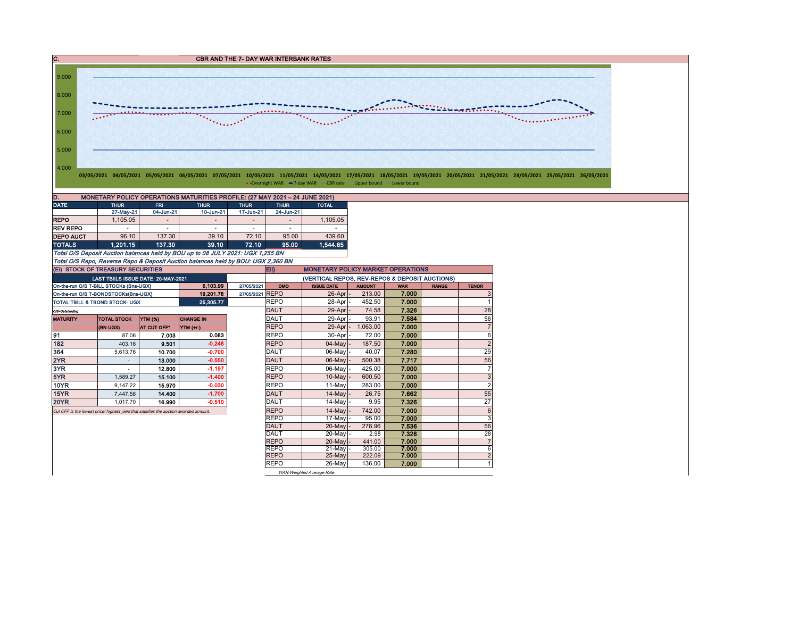C. C. CBR AND THE 7- DAY WAR INTERBANK RATES



• Overnight WAR -7-day WAR - CBR rate - Upper bound - Lower bound

| D.<br>MONETARY POLICY OPERATIONS MATURITIES PROFILE: (27 MAY 2021 - 24 JUNE 2021) |             |                          |                          |             |                |              |  |  |  |  |  |  |
|-----------------------------------------------------------------------------------|-------------|--------------------------|--------------------------|-------------|----------------|--------------|--|--|--|--|--|--|
| <b>DATE</b>                                                                       | <b>THUR</b> | <b>FRI</b>               | <b>THUR</b>              | <b>THUR</b> | <b>THUR</b>    | <b>TOTAL</b> |  |  |  |  |  |  |
|                                                                                   | 27-May-21   | 04-Jun-21                | 10-Jun-21                | 17-Jun-21   | 24-Jun-21      |              |  |  |  |  |  |  |
| <b>REPO</b>                                                                       | 1,105.05    | $\overline{\phantom{a}}$ |                          | -           | $\overline{a}$ | 1,105.05     |  |  |  |  |  |  |
| <b>REV REPO</b>                                                                   | ۰           | ۰                        | $\overline{\phantom{a}}$ | ۰           | ۰              |              |  |  |  |  |  |  |
| <b>DEPO AUCT</b>                                                                  | 96.10       | 137.30                   | 39.10                    | 72.10       | 95.00          | 439.60       |  |  |  |  |  |  |
| <b>TOTALS</b>                                                                     | 1.201.15    | 137.30                   | 39.10                    | 72.10       | 95.00          | 1.544.65     |  |  |  |  |  |  |

Total O/S Deposit Auction balances held by BOU up to 08 JULY 2021: UGX 1,255 BN Total O/S Repo, Reverse Repo & Deposit Auction balances held by BOU: UGX 2,360 BN

|                                                                                                                           | (EI) STOCK OF TREASURY SECURITIES      |                |                  |             | Eii)                                           | <b>MONETARY POLICY MARKET OPERATIONS</b> |               |            |              |                |  |  |  |
|---------------------------------------------------------------------------------------------------------------------------|----------------------------------------|----------------|------------------|-------------|------------------------------------------------|------------------------------------------|---------------|------------|--------------|----------------|--|--|--|
|                                                                                                                           | LAST TBIILS ISSUE DATE: 20-MAY-2021    |                |                  |             | (VERTICAL REPOS, REV-REPOS & DEPOSIT AUCTIONS) |                                          |               |            |              |                |  |  |  |
|                                                                                                                           | On-the-run O/S T-BILL STOCKs (Bns-UGX) |                | 6.103.99         | 27/05/2021  | OMO                                            | <b>ISSUE DATE</b>                        | <b>AMOUNT</b> | <b>WAR</b> | <b>RANGE</b> | <b>TENOR</b>   |  |  |  |
|                                                                                                                           | On-the-run O/S T-BONDSTOCKs(Bns-UGX)   |                | 19,201.78        | 27/05/2021  | <b>REPO</b>                                    | 26-Apr                                   | 213.00        | 7.000      |              | 3              |  |  |  |
| TOTAL TBILL & TBOND STOCK- UGX                                                                                            |                                        |                | 25,305.77        |             | <b>REPO</b>                                    | 28-Apr                                   | 452.50        | 7.000      |              |                |  |  |  |
| O/S=Outstanding                                                                                                           |                                        |                |                  |             | <b>DAUT</b>                                    | $29$ -Apr $-$                            | 74.58         | 7.326      |              | 28             |  |  |  |
| <b>MATURITY</b>                                                                                                           | <b>TOTAL STOCK</b>                     | <b>YTM (%)</b> | <b>CHANGE IN</b> |             | <b>DAUT</b>                                    | 29-Apr -                                 | 93.91         | 7.584      |              | 56             |  |  |  |
|                                                                                                                           | (BN UGX)                               | AT CUT OFF*    | YTM (+/-)        |             | <b>REPO</b>                                    | $29$ -Apr $-$                            | 1,063.00      | 7.000      |              | $\overline{7}$ |  |  |  |
| 91                                                                                                                        | 87.06                                  | 7.003          | 0.083            |             | <b>REPO</b>                                    | $30$ -Apr $-$                            | 72.00         | 7.000      |              | 6              |  |  |  |
| 182                                                                                                                       | 403.16                                 | 9.501          | $-0.248$         |             | <b>REPO</b>                                    | $04$ -May $-$                            | 187.50        | 7.000      |              | $\overline{2}$ |  |  |  |
| 364                                                                                                                       | 5,613.76                               | 10.700         | $-0.700$         |             | <b>DAUT</b>                                    | 06-May -                                 | 40.07         | 7.280      |              | 29             |  |  |  |
| 2YR                                                                                                                       |                                        | 13.000         | $-0.550$         |             | <b>DAUT</b>                                    | $06$ -May $-$                            | 500.38        | 7.717      |              | 56             |  |  |  |
| 3YR                                                                                                                       |                                        | 12.800         | $-1.197$         |             | <b>REPO</b>                                    | 06-Mayl-                                 | 425.00        | 7.000      |              | 7              |  |  |  |
| 5YR                                                                                                                       | 1.589.27                               | 15.100         | $-1.400$         |             | <b>REPO</b>                                    | $10$ -May $\vert$ -                      | 600.50        | 7.000      |              | 3              |  |  |  |
| 10YR                                                                                                                      |                                        | 15.970         | $-0.030$         |             | <b>REPO</b>                                    | 11-May                                   | 283.00        | 7.000      |              | $\overline{2}$ |  |  |  |
| 15YR                                                                                                                      |                                        | 14.400         | $-1.700$         |             | <b>DAUT</b>                                    | $14$ -May $-$                            | 26.75         | 7.662      |              | 55             |  |  |  |
| <b>20YR</b>                                                                                                               |                                        | 16.990         | $-0.510$         |             | DAUT                                           | 14-May -                                 | 9.95          | 7.326      |              | 27             |  |  |  |
|                                                                                                                           |                                        |                |                  | <b>REPO</b> | $14$ -May                                      | 742.00                                   | 7.000         |            | 6            |                |  |  |  |
|                                                                                                                           |                                        |                |                  |             | <b>REPO</b>                                    | 17-May -                                 | 95.00         | 7.000      |              | 3              |  |  |  |
|                                                                                                                           |                                        |                |                  |             | DAUT                                           | 20-May -                                 | 278.96        | 7.536      |              | 56             |  |  |  |
| 9.147.22<br>7.447.58<br>1.017.70<br>Cut OFF is the lowest price/ highest yield that satisfies the auction awarded amount. |                                        |                |                  |             | <b>DAUT</b>                                    | 20-May -                                 | 2.98          | 7.328      |              | 28             |  |  |  |
|                                                                                                                           |                                        |                |                  |             | <b>REPO</b>                                    | 20-May -                                 | 441.00        | 7.000      |              | $\overline{7}$ |  |  |  |
|                                                                                                                           |                                        |                |                  |             | <b>REPO</b>                                    | $21$ -May                                | 305.00        | 7.000      |              | 6              |  |  |  |
|                                                                                                                           |                                        |                |                  |             | <b>REPO</b>                                    | $25-May$                                 | 222.09        | 7.000      |              | $\overline{2}$ |  |  |  |
|                                                                                                                           |                                        |                |                  |             | <b>REPO</b>                                    | 26-May                                   | 136.00        | 7.000      |              |                |  |  |  |
|                                                                                                                           |                                        |                |                  |             |                                                | WAR-Weighted Average Rate                |               |            |              |                |  |  |  |